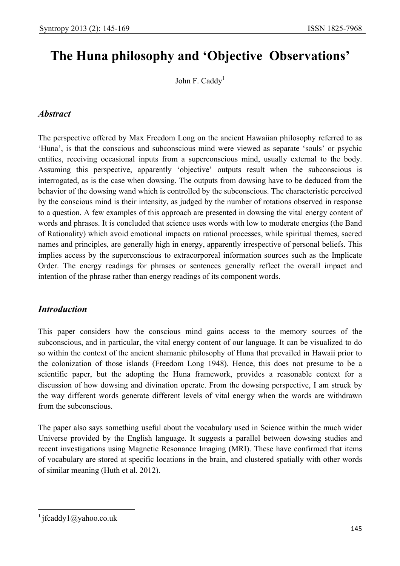# **The Huna philosophy and 'Objective Observations'**

John F. Caddy<sup>1</sup>

## *Abstract*

The perspective offered by Max Freedom Long on the ancient Hawaiian philosophy referred to as 'Huna', is that the conscious and subconscious mind were viewed as separate 'souls' or psychic entities, receiving occasional inputs from a superconscious mind, usually external to the body. Assuming this perspective, apparently 'objective' outputs result when the subconscious is interrogated, as is the case when dowsing. The outputs from dowsing have to be deduced from the behavior of the dowsing wand which is controlled by the subconscious. The characteristic perceived by the conscious mind is their intensity, as judged by the number of rotations observed in response to a question. A few examples of this approach are presented in dowsing the vital energy content of words and phrases. It is concluded that science uses words with low to moderate energies (the Band of Rationality) which avoid emotional impacts on rational processes, while spiritual themes, sacred names and principles, are generally high in energy, apparently irrespective of personal beliefs. This implies access by the superconscious to extracorporeal information sources such as the Implicate Order. The energy readings for phrases or sentences generally reflect the overall impact and intention of the phrase rather than energy readings of its component words.

## *Introduction*

This paper considers how the conscious mind gains access to the memory sources of the subconscious, and in particular, the vital energy content of our language. It can be visualized to do so within the context of the ancient shamanic philosophy of Huna that prevailed in Hawaii prior to the colonization of those islands (Freedom Long 1948). Hence, this does not presume to be a scientific paper, but the adopting the Huna framework, provides a reasonable context for a discussion of how dowsing and divination operate. From the dowsing perspective, I am struck by the way different words generate different levels of vital energy when the words are withdrawn from the subconscious.

The paper also says something useful about the vocabulary used in Science within the much wider Universe provided by the English language. It suggests a parallel between dowsing studies and recent investigations using Magnetic Resonance Imaging (MRI). These have confirmed that items of vocabulary are stored at specific locations in the brain, and clustered spatially with other words of similar meaning (Huth et al. 2012).

 $\overline{\phantom{a}}$ 

<sup>&</sup>lt;sup>1</sup> jfcaddy1@yahoo.co.uk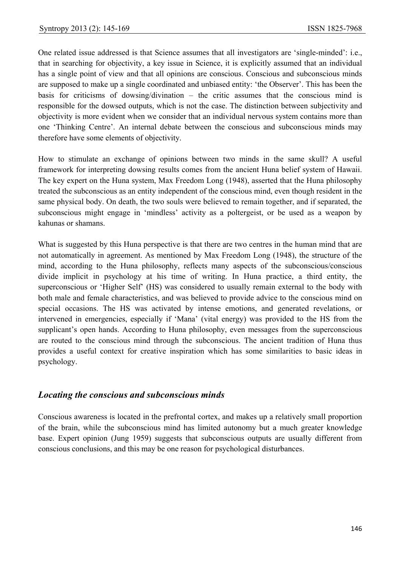One related issue addressed is that Science assumes that all investigators are 'single-minded': i.e., that in searching for objectivity, a key issue in Science, it is explicitly assumed that an individual has a single point of view and that all opinions are conscious. Conscious and subconscious minds are supposed to make up a single coordinated and unbiased entity: 'the Observer'. This has been the basis for criticisms of dowsing/divination – the critic assumes that the conscious mind is responsible for the dowsed outputs, which is not the case. The distinction between subjectivity and objectivity is more evident when we consider that an individual nervous system contains more than one 'Thinking Centre'. An internal debate between the conscious and subconscious minds may therefore have some elements of objectivity.

How to stimulate an exchange of opinions between two minds in the same skull? A useful framework for interpreting dowsing results comes from the ancient Huna belief system of Hawaii. The key expert on the Huna system, Max Freedom Long (1948), asserted that the Huna philosophy treated the subconscious as an entity independent of the conscious mind, even though resident in the same physical body. On death, the two souls were believed to remain together, and if separated, the subconscious might engage in 'mindless' activity as a poltergeist, or be used as a weapon by kahunas or shamans.

What is suggested by this Huna perspective is that there are two centres in the human mind that are not automatically in agreement. As mentioned by Max Freedom Long (1948), the structure of the mind, according to the Huna philosophy, reflects many aspects of the subconscious/conscious divide implicit in psychology at his time of writing. In Huna practice, a third entity, the superconscious or 'Higher Self' (HS) was considered to usually remain external to the body with both male and female characteristics, and was believed to provide advice to the conscious mind on special occasions. The HS was activated by intense emotions, and generated revelations, or intervened in emergencies, especially if 'Mana' (vital energy) was provided to the HS from the supplicant's open hands. According to Huna philosophy, even messages from the superconscious are routed to the conscious mind through the subconscious. The ancient tradition of Huna thus provides a useful context for creative inspiration which has some similarities to basic ideas in psychology.

## *Locating the conscious and subconscious minds*

Conscious awareness is located in the prefrontal cortex, and makes up a relatively small proportion of the brain, while the subconscious mind has limited autonomy but a much greater knowledge base. Expert opinion (Jung 1959) suggests that subconscious outputs are usually different from conscious conclusions, and this may be one reason for psychological disturbances.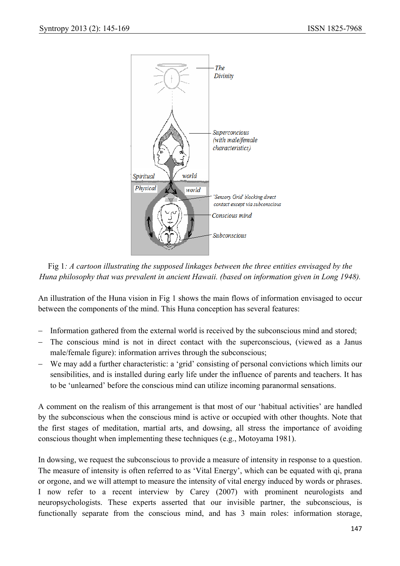

Fig 1*: A cartoon illustrating the supposed linkages between the three entities envisaged by the Huna philosophy that was prevalent in ancient Hawaii. (based on information given in Long 1948).* 

An illustration of the Huna vision in Fig 1 shows the main flows of information envisaged to occur between the components of the mind. This Huna conception has several features:

- − Information gathered from the external world is received by the subconscious mind and stored;
- − The conscious mind is not in direct contact with the superconscious, (viewed as a Janus male/female figure): information arrives through the subconscious;
- − We may add a further characteristic: a 'grid' consisting of personal convictions which limits our sensibilities, and is installed during early life under the influence of parents and teachers. It has to be 'unlearned' before the conscious mind can utilize incoming paranormal sensations.

A comment on the realism of this arrangement is that most of our 'habitual activities' are handled by the subconscious when the conscious mind is active or occupied with other thoughts. Note that the first stages of meditation, martial arts, and dowsing, all stress the importance of avoiding conscious thought when implementing these techniques (e.g., Motoyama 1981).

In dowsing, we request the subconscious to provide a measure of intensity in response to a question. The measure of intensity is often referred to as 'Vital Energy', which can be equated with qi, prana or orgone, and we will attempt to measure the intensity of vital energy induced by words or phrases. I now refer to a recent interview by Carey (2007) with prominent neurologists and neuropsychologists. These experts asserted that our invisible partner, the subconscious, is functionally separate from the conscious mind, and has 3 main roles: information storage,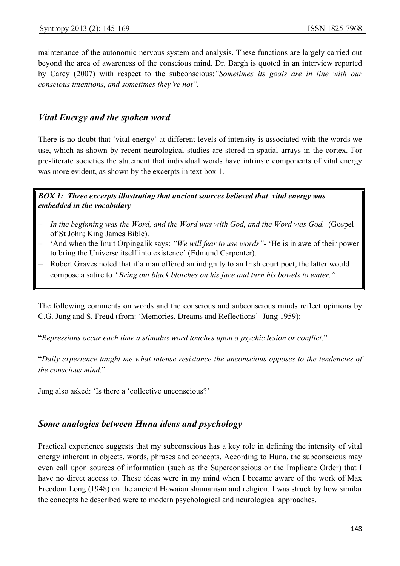maintenance of the autonomic nervous system and analysis. These functions are largely carried out beyond the area of awareness of the conscious mind. Dr. Bargh is quoted in an interview reported by Carey (2007) with respect to the subconscious:*"Sometimes its goals are in line with our conscious intentions, and sometimes they're not".* 

## *Vital Energy and the spoken word*

There is no doubt that 'vital energy' at different levels of intensity is associated with the words we use, which as shown by recent neurological studies are stored in spatial arrays in the cortex. For pre-literate societies the statement that individual words have intrinsic components of vital energy was more evident, as shown by the excerpts in text box 1.

#### *BOX 1: Three excerpts illustrating that ancient sources believed that vital energy was embedded in the vocabulary*

- − *In the beginning was the Word, and the Word was with God, and the Word was God.* (Gospel of St John; King James Bible).
- − 'And when the Inuit Orpingalik says: *"We will fear to use words"-* 'He is in awe of their power to bring the Universe itself into existence' (Edmund Carpenter).
- Robert Graves noted that if a man offered an indignity to an Irish court poet, the latter would compose a satire to *"Bring out black blotches on his face and turn his bowels to water."*

The following comments on words and the conscious and subconscious minds reflect opinions by C.G. Jung and S. Freud (from: 'Memories, Dreams and Reflections'- Jung 1959):

"*Repressions occur each time a stimulus word touches upon a psychic lesion or conflict*."

"*Daily experience taught me what intense resistance the unconscious opposes to the tendencies of the conscious mind.*"

Jung also asked: 'Is there a 'collective unconscious?'

## *Some analogies between Huna ideas and psychology*

Practical experience suggests that my subconscious has a key role in defining the intensity of vital energy inherent in objects, words, phrases and concepts. According to Huna, the subconscious may even call upon sources of information (such as the Superconscious or the Implicate Order) that I have no direct access to. These ideas were in my mind when I became aware of the work of Max Freedom Long (1948) on the ancient Hawaian shamanism and religion. I was struck by how similar the concepts he described were to modern psychological and neurological approaches.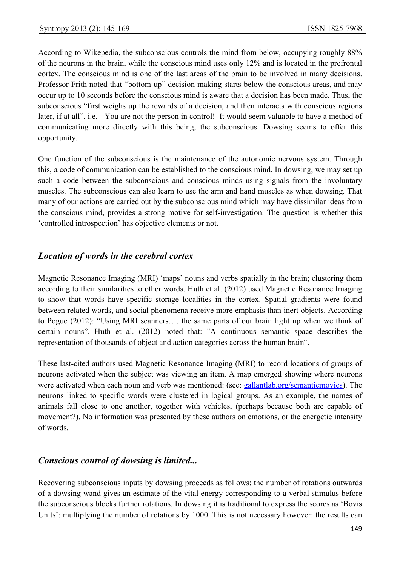According to Wikepedia, the subconscious controls the mind from below, occupying roughly 88% of the neurons in the brain, while the conscious mind uses only 12% and is located in the prefrontal cortex. The conscious mind is one of the last areas of the brain to be involved in many decisions. Professor Frith noted that "bottom-up" decision-making starts below the conscious areas, and may occur up to 10 seconds before the conscious mind is aware that a decision has been made. Thus, the subconscious "first weighs up the rewards of a decision, and then interacts with conscious regions later, if at all". i.e. - You are not the person in control! It would seem valuable to have a method of communicating more directly with this being, the subconscious. Dowsing seems to offer this opportunity.

One function of the subconscious is the maintenance of the autonomic nervous system. Through this, a code of communication can be established to the conscious mind. In dowsing, we may set up such a code between the subconscious and conscious minds using signals from the involuntary muscles. The subconscious can also learn to use the arm and hand muscles as when dowsing. That many of our actions are carried out by the subconscious mind which may have dissimilar ideas from the conscious mind, provides a strong motive for self-investigation. The question is whether this 'controlled introspection' has objective elements or not.

## *Location of words in the cerebral cortex*

Magnetic Resonance Imaging (MRI) 'maps' nouns and verbs spatially in the brain; clustering them according to their similarities to other words. Huth et al. (2012) used Magnetic Resonance Imaging to show that words have specific storage localities in the cortex. Spatial gradients were found between related words, and social phenomena receive more emphasis than inert objects. According to Pogue (2012): "Using MRI scanners…. the same parts of our brain light up when we think of certain nouns". Huth et al. (2012) noted that: "A continuous semantic space describes the representation of thousands of object and action categories across the human brain".

These last-cited authors used Magnetic Resonance Imaging (MRI) to record locations of groups of neurons activated when the subject was viewing an item. A map emerged showing where neurons were activated when each noun and verb was mentioned: (see: gallantlab.org/semanticmovies). The neurons linked to specific words were clustered in logical groups. As an example, the names of animals fall close to one another, together with vehicles, (perhaps because both are capable of movement?). No information was presented by these authors on emotions, or the energetic intensity of words.

# *Conscious control of dowsing is limited...*

Recovering subconscious inputs by dowsing proceeds as follows: the number of rotations outwards of a dowsing wand gives an estimate of the vital energy corresponding to a verbal stimulus before the subconscious blocks further rotations. In dowsing it is traditional to express the scores as 'Bovis Units': multiplying the number of rotations by 1000. This is not necessary however: the results can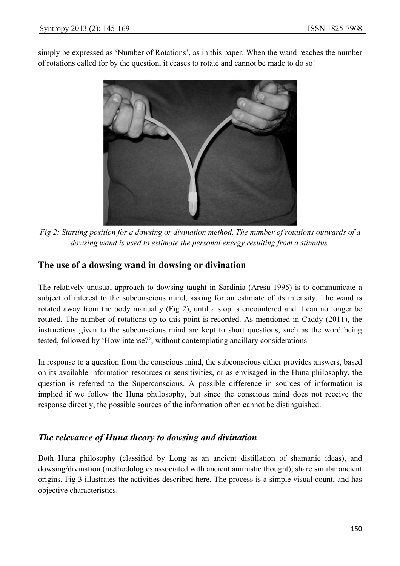simply be expressed as 'Number of Rotations', as in this paper. When the wand reaches the number of rotations called for by the question, it ceases to rotate and cannot be made to do so!



*Fig 2: Starting position for a dowsing or divination method. The number of rotations outwards of a dowsing wand is used to estimate the personal energy resulting from a stimulus.* 

## **The use of a dowsing wand in dowsing or divination**

The relatively unusual approach to dowsing taught in Sardinia (Aresu 1995) is to communicate a subject of interest to the subconscious mind, asking for an estimate of its intensity. The wand is rotated away from the body manually (Fig 2), until a stop is encountered and it can no longer be rotated. The number of rotations up to this point is recorded. As mentioned in Caddy (2011), the instructions given to the subconscious mind are kept to short questions, such as the word being tested, followed by 'How intense?', without contemplating ancillary considerations.

In response to a question from the conscious mind, the subconscious either provides answers, based on its available information resources or sensitivities, or as envisaged in the Huna philosophy, the question is referred to the Superconscious. A possible difference in sources of information is implied if we follow the Huna phulosophy, but since the conscious mind does not receive the response directly, the possible sources of the information often cannot be distinguished.

## *The relevance of Huna theory to dowsing and divination*

Both Huna philosophy (classified by Long as an ancient distillation of shamanic ideas), and dowsing/divination (methodologies associated with ancient animistic thought), share similar ancient origins. Fig 3 illustrates the activities described here. The process is a simple visual count, and has objective characteristics.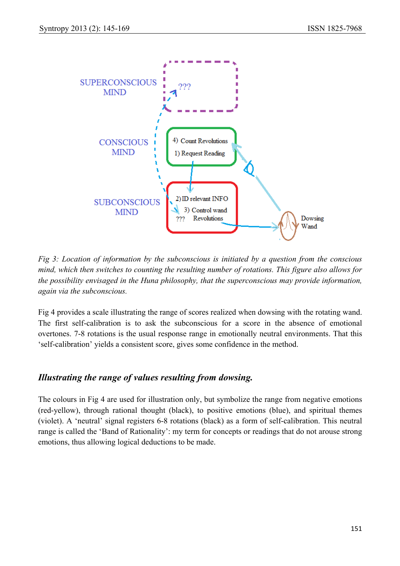

*Fig 3: Location of information by the subconscious is initiated by a question from the conscious mind, which then switches to counting the resulting number of rotations. This figure also allows for the possibility envisaged in the Huna philosophy, that the superconscious may provide information, again via the subconscious.* 

Fig 4 provides a scale illustrating the range of scores realized when dowsing with the rotating wand. The first self-calibration is to ask the subconscious for a score in the absence of emotional overtones. 7-8 rotations is the usual response range in emotionally neutral environments. That this 'self-calibration' yields a consistent score, gives some confidence in the method.

# *Illustrating the range of values resulting from dowsing.*

The colours in Fig 4 are used for illustration only, but symbolize the range from negative emotions (red-yellow), through rational thought (black), to positive emotions (blue), and spiritual themes (violet). A 'neutral' signal registers 6-8 rotations (black) as a form of self-calibration. This neutral range is called the 'Band of Rationality': my term for concepts or readings that do not arouse strong emotions, thus allowing logical deductions to be made.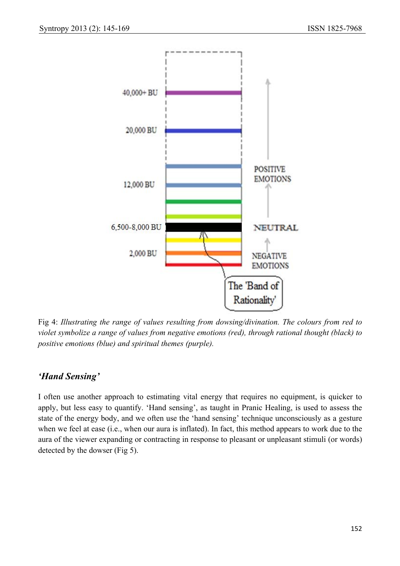

Fig 4: *Illustrating the range of values resulting from dowsing/divination. The colours from red to violet symbolize a range of values from negative emotions (red), through rational thought (black) to positive emotions (blue) and spiritual themes (purple).* 

# *'Hand Sensing'*

I often use another approach to estimating vital energy that requires no equipment, is quicker to apply, but less easy to quantify. 'Hand sensing', as taught in Pranic Healing, is used to assess the state of the energy body, and we often use the 'hand sensing' technique unconsciously as a gesture when we feel at ease (i.e., when our aura is inflated). In fact, this method appears to work due to the aura of the viewer expanding or contracting in response to pleasant or unpleasant stimuli (or words) detected by the dowser (Fig 5).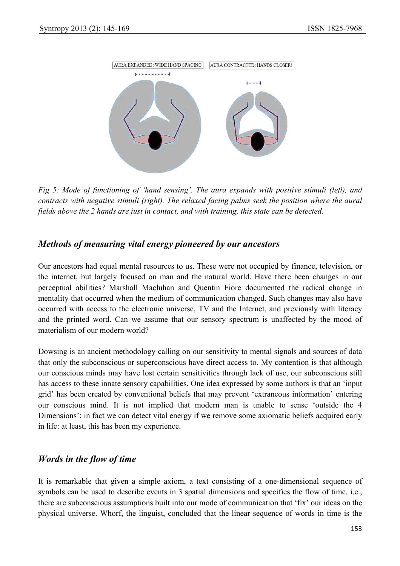

*Fig 5: Mode of functioning of 'hand sensing'. The aura expands with positive stimuli (left), and contracts with negative stimuli (right). The relaxed facing palms seek the position where the aural fields above the 2 hands are just in contact, and with training, this state can be detected.* 

## *Methods of measuring vital energy pioneered by our ancestors*

Our ancestors had equal mental resources to us. These were not occupied by finance, television, or the internet, but largely focused on man and the natural world. Have there been changes in our perceptual abilities? Marshall Macluhan and Quentin Fiore documented the radical change in mentality that occurred when the medium of communication changed. Such changes may also have occurred with access to the electronic universe, TV and the Internet, and previously with literacy and the printed word. Can we assume that our sensory spectrum is unaffected by the mood of materialism of our modern world?

Dowsing is an ancient methodology calling on our sensitivity to mental signals and sources of data that only the subconscious or superconscious have direct access to. My contention is that although our conscious minds may have lost certain sensitivities through lack of use, our subconscious still has access to these innate sensory capabilities. One idea expressed by some authors is that an 'input grid' has been created by conventional beliefs that may prevent 'extraneous information' entering our conscious mind. It is not implied that modern man is unable to sense 'outside the 4 Dimensions': in fact we can detect vital energy if we remove some axiomatic beliefs acquired early in life: at least, this has been my experience.

## *Words in the flow of time*

It is remarkable that given a simple axiom, a text consisting of a one-dimensional sequence of symbols can be used to describe events in 3 spatial dimensions and specifies the flow of time. i.e., there are subconscious assumptions built into our mode of communication that 'fix' our ideas on the physical universe. Whorf, the linguist, concluded that the linear sequence of words in time is the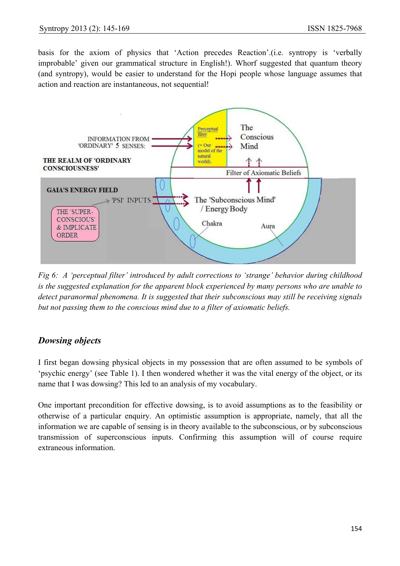basis for the axiom of physics that 'Action precedes Reaction'.(i.e. syntropy is 'verbally improbable' given our grammatical structure in English!). Whorf suggested that quantum theory (and syntropy), would be easier to understand for the Hopi people whose language assumes that action and reaction are instantaneous, not sequential!



*Fig 6: A 'perceptual filter' introduced by adult corrections to 'strange' behavior during childhood is the suggested explanation for the apparent block experienced by many persons who are unable to detect paranormal phenomena. It is suggested that their subconscious may still be receiving signals but not passing them to the conscious mind due to a filter of axiomatic beliefs.* 

# *Dowsing objects*

I first began dowsing physical objects in my possession that are often assumed to be symbols of 'psychic energy' (see Table 1). I then wondered whether it was the vital energy of the object, or its name that I was dowsing? This led to an analysis of my vocabulary.

One important precondition for effective dowsing, is to avoid assumptions as to the feasibility or otherwise of a particular enquiry. An optimistic assumption is appropriate, namely, that all the information we are capable of sensing is in theory available to the subconscious, or by subconscious transmission of superconscious inputs. Confirming this assumption will of course require extraneous information.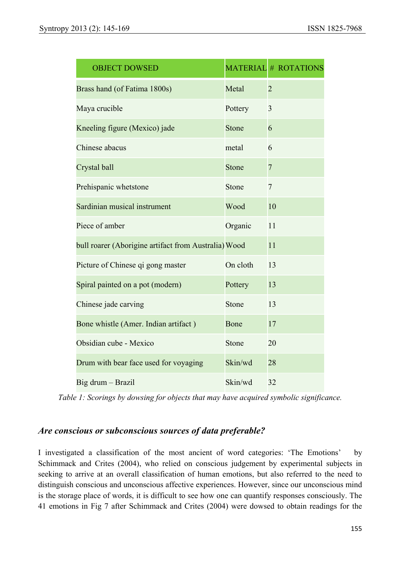| <b>OBJECT DOWSED</b>                                 |          | <b>MATERIAL # ROTATIONS</b> |
|------------------------------------------------------|----------|-----------------------------|
| Brass hand (of Fatima 1800s)                         | Metal    | $\overline{2}$              |
| Maya crucible                                        | Pottery  | $\overline{3}$              |
| Kneeling figure (Mexico) jade                        | Stone    | 6                           |
| Chinese abacus                                       | metal    | 6                           |
| Crystal ball                                         | Stone    | $\overline{7}$              |
| Prehispanic whetstone                                | Stone    | $\overline{7}$              |
| Sardinian musical instrument                         | Wood     | 10                          |
| Piece of amber                                       | Organic  | 11                          |
| bull roarer (Aborigine artifact from Australia) Wood |          | 11                          |
| Picture of Chinese qi gong master                    | On cloth | 13                          |
| Spiral painted on a pot (modern)                     | Pottery  | 13                          |
| Chinese jade carving                                 | Stone    | 13                          |
| Bone whistle (Amer. Indian artifact)                 | Bone     | 17                          |
| Obsidian cube - Mexico                               | Stone    | 20                          |
| Drum with bear face used for voyaging                | Skin/wd  | 28                          |
| Big drum - Brazil                                    | Skin/wd  | 32                          |

*Table 1: Scorings by dowsing for objects that may have acquired symbolic significance.* 

## *Are conscious or subconscious sources of data preferable?*

I investigated a classification of the most ancient of word categories: 'The Emotions' by Schimmack and Crites (2004), who relied on conscious judgement by experimental subjects in seeking to arrive at an overall classification of human emotions, but also referred to the need to distinguish conscious and unconscious affective experiences. However, since our unconscious mind is the storage place of words, it is difficult to see how one can quantify responses consciously. The 41 emotions in Fig 7 after Schimmack and Crites (2004) were dowsed to obtain readings for the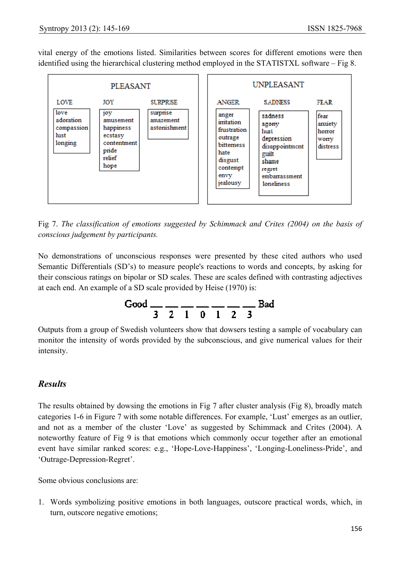vital energy of the emotions listed. Similarities between scores for different emotions were then identified using the hierarchical clustering method employed in the STATISTXL software – Fig 8.



Fig 7. *The classification of emotions suggested by Schimmack and Crites (2004) on the basis of conscious judgement by participants.* 

No demonstrations of unconscious responses were presented by these cited authors who used Semantic Differentials (SD's) to measure people's reactions to words and concepts, by asking for their conscious ratings on bipolar or SD scales. These are scales defined with contrasting adjectives at each end. An example of a SD scale provided by Heise (1970) is:



Outputs from a group of Swedish volunteers show that dowsers testing a sample of vocabulary can monitor the intensity of words provided by the subconscious, and give numerical values for their intensity.

## *Results*

The results obtained by dowsing the emotions in Fig 7 after cluster analysis (Fig 8), broadly match categories 1-6 in Figure 7 with some notable differences. For example, 'Lust' emerges as an outlier, and not as a member of the cluster 'Love' as suggested by Schimmack and Crites (2004). A noteworthy feature of Fig 9 is that emotions which commonly occur together after an emotional event have similar ranked scores: e.g., 'Hope-Love-Happiness', 'Longing-Loneliness-Pride', and 'Outrage-Depression-Regret'.

Some obvious conclusions are:

1. Words symbolizing positive emotions in both languages, outscore practical words, which, in turn, outscore negative emotions;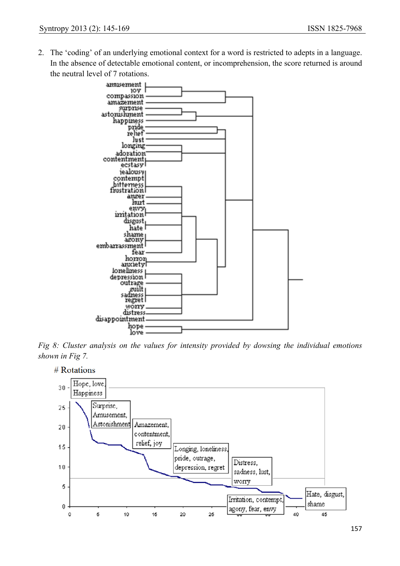2. The 'coding' of an underlying emotional context for a word is restricted to adepts in a language. In the absence of detectable emotional content, or incomprehension, the score returned is around the neutral level of 7 rotations.



*Fig 8: Cluster analysis on the values for intensity provided by dowsing the individual emotions shown in Fig 7.* 

# Rotations Hope, love  $30$ Happiness Surprise, 25 Amusement, Astonishment Amazement,  $20$ contentment. relief, joy 15 Longing, loneliness, pride, outrage, Distress.  $10$ depression, regret sadness, lust, worry 5 Hate, disgust, Irritation, contempt, shame  $\mathbf 0$ agony, fear, envy  $\mathbf 0$ 5 10  $20$ 25 40  $15$ 45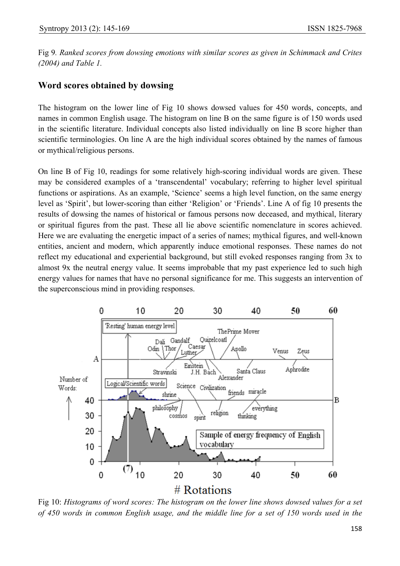Fig 9*. Ranked scores from dowsing emotions with similar scores as given in Schimmack and Crites (2004) and Table 1.* 

## **Word scores obtained by dowsing**

The histogram on the lower line of Fig 10 shows dowsed values for 450 words, concepts, and names in common English usage. The histogram on line B on the same figure is of 150 words used in the scientific literature. Individual concepts also listed individually on line B score higher than scientific terminologies. On line A are the high individual scores obtained by the names of famous or mythical/religious persons.

On line B of Fig 10, readings for some relatively high-scoring individual words are given. These may be considered examples of a 'transcendental' vocabulary; referring to higher level spiritual functions or aspirations. As an example, 'Science' seems a high level function, on the same energy level as 'Spirit', but lower-scoring than either 'Religion' or 'Friends'. Line A of fig 10 presents the results of dowsing the names of historical or famous persons now deceased, and mythical, literary or spiritual figures from the past. These all lie above scientific nomenclature in scores achieved. Here we are evaluating the energetic impact of a series of names; mythical figures, and well-known entities, ancient and modern, which apparently induce emotional responses. These names do not reflect my educational and experiential background, but still evoked responses ranging from 3x to almost 9x the neutral energy value. It seems improbable that my past experience led to such high energy values for names that have no personal significance for me. This suggests an intervention of the superconscious mind in providing responses.



Fig 10: *Histograms of word scores: The histogram on the lower line shows dowsed values for a set of 450 words in common English usage, and the middle line for a set of 150 words used in the*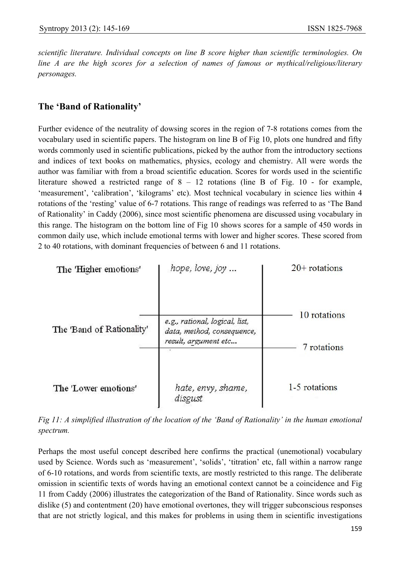*scientific literature. Individual concepts on line B score higher than scientific terminologies. On line A are the high scores for a selection of names of famous or mythical/religious/literary personages.* 

#### **The 'Band of Rationality'**

Further evidence of the neutrality of dowsing scores in the region of 7-8 rotations comes from the vocabulary used in scientific papers. The histogram on line B of Fig 10, plots one hundred and fifty words commonly used in scientific publications, picked by the author from the introductory sections and indices of text books on mathematics, physics, ecology and chemistry. All were words the author was familiar with from a broad scientific education. Scores for words used in the scientific literature showed a restricted range of 8 – 12 rotations (line B of Fig. 10 - for example, 'measurement', 'calibration', 'kilograms' etc). Most technical vocabulary in science lies within 4 rotations of the 'resting' value of 6-7 rotations. This range of readings was referred to as 'The Band of Rationality' in Caddy (2006), since most scientific phenomena are discussed using vocabulary in this range. The histogram on the bottom line of Fig 10 shows scores for a sample of 450 words in common daily use, which include emotional terms with lower and higher scores. These scored from 2 to 40 rotations, with dominant frequencies of between 6 and 11 rotations.



*Fig 11: A simplified illustration of the location of the 'Band of Rationality' in the human emotional spectrum.* 

Perhaps the most useful concept described here confirms the practical (unemotional) vocabulary used by Science. Words such as 'measurement', 'solids', 'titration' etc, fall within a narrow range of 6-10 rotations, and words from scientific texts, are mostly restricted to this range. The deliberate omission in scientific texts of words having an emotional context cannot be a coincidence and Fig 11 from Caddy (2006) illustrates the categorization of the Band of Rationality. Since words such as dislike (5) and contentment (20) have emotional overtones, they will trigger subconscious responses that are not strictly logical, and this makes for problems in using them in scientific investigations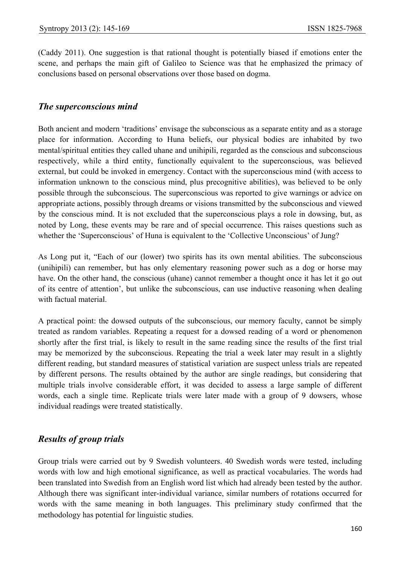(Caddy 2011). One suggestion is that rational thought is potentially biased if emotions enter the scene, and perhaps the main gift of Galileo to Science was that he emphasized the primacy of conclusions based on personal observations over those based on dogma.

#### *The superconscious mind*

Both ancient and modern 'traditions' envisage the subconscious as a separate entity and as a storage place for information. According to Huna beliefs, our physical bodies are inhabited by two mental/spiritual entities they called uhane and unihipili, regarded as the conscious and subconscious respectively, while a third entity, functionally equivalent to the superconscious, was believed external, but could be invoked in emergency. Contact with the superconscious mind (with access to information unknown to the conscious mind, plus precognitive abilities), was believed to be only possible through the subconscious. The superconscious was reported to give warnings or advice on appropriate actions, possibly through dreams or visions transmitted by the subconscious and viewed by the conscious mind. It is not excluded that the superconscious plays a role in dowsing, but, as noted by Long, these events may be rare and of special occurrence. This raises questions such as whether the 'Superconscious' of Huna is equivalent to the 'Collective Unconscious' of Jung?

As Long put it, "Each of our (lower) two spirits has its own mental abilities. The subconscious (unihipili) can remember, but has only elementary reasoning power such as a dog or horse may have. On the other hand, the conscious (uhane) cannot remember a thought once it has let it go out of its centre of attention', but unlike the subconscious, can use inductive reasoning when dealing with factual material.

A practical point: the dowsed outputs of the subconscious, our memory faculty, cannot be simply treated as random variables. Repeating a request for a dowsed reading of a word or phenomenon shortly after the first trial, is likely to result in the same reading since the results of the first trial may be memorized by the subconscious. Repeating the trial a week later may result in a slightly different reading, but standard measures of statistical variation are suspect unless trials are repeated by different persons. The results obtained by the author are single readings, but considering that multiple trials involve considerable effort, it was decided to assess a large sample of different words, each a single time. Replicate trials were later made with a group of 9 dowsers, whose individual readings were treated statistically.

## *Results of group trials*

Group trials were carried out by 9 Swedish volunteers. 40 Swedish words were tested, including words with low and high emotional significance, as well as practical vocabularies. The words had been translated into Swedish from an English word list which had already been tested by the author. Although there was significant inter-individual variance, similar numbers of rotations occurred for words with the same meaning in both languages. This preliminary study confirmed that the methodology has potential for linguistic studies.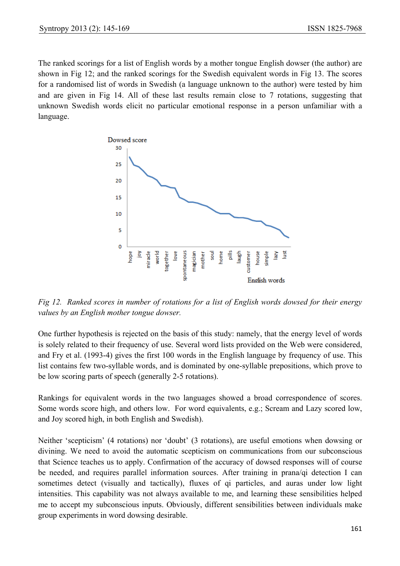The ranked scorings for a list of English words by a mother tongue English dowser (the author) are shown in Fig 12; and the ranked scorings for the Swedish equivalent words in Fig 13. The scores for a randomised list of words in Swedish (a language unknown to the author) were tested by him and are given in Fig 14. All of these last results remain close to 7 rotations, suggesting that unknown Swedish words elicit no particular emotional response in a person unfamiliar with a language.



*Fig 12. Ranked scores in number of rotations for a list of English words dowsed for their energy values by an English mother tongue dowser.* 

One further hypothesis is rejected on the basis of this study: namely, that the energy level of words is solely related to their frequency of use. Several word lists provided on the Web were considered, and Fry et al. (1993-4) gives the first 100 words in the English language by frequency of use. This list contains few two-syllable words, and is dominated by one-syllable prepositions, which prove to be low scoring parts of speech (generally 2-5 rotations).

Rankings for equivalent words in the two languages showed a broad correspondence of scores. Some words score high, and others low. For word equivalents, e.g.; Scream and Lazy scored low, and Joy scored high, in both English and Swedish).

Neither 'scepticism' (4 rotations) nor 'doubt' (3 rotations), are useful emotions when dowsing or divining. We need to avoid the automatic scepticism on communications from our subconscious that Science teaches us to apply. Confirmation of the accuracy of dowsed responses will of course be needed, and requires parallel information sources. After training in prana/qi detection I can sometimes detect (visually and tactically), fluxes of qi particles, and auras under low light intensities. This capability was not always available to me, and learning these sensibilities helped me to accept my subconscious inputs. Obviously, different sensibilities between individuals make group experiments in word dowsing desirable.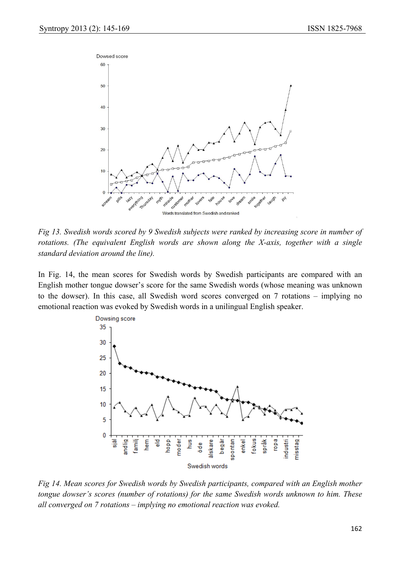

*Fig 13. Swedish words scored by 9 Swedish subjects were ranked by increasing score in number of rotations. (The equivalent English words are shown along the X-axis, together with a single standard deviation around the line).*

In Fig. 14, the mean scores for Swedish words by Swedish participants are compared with an English mother tongue dowser's score for the same Swedish words (whose meaning was unknown to the dowser). In this case, all Swedish word scores converged on 7 rotations – implying no emotional reaction was evoked by Swedish words in a unilingual English speaker.



*Fig 14. Mean scores for Swedish words by Swedish participants, compared with an English mother tongue dowser's scores (number of rotations) for the same Swedish words unknown to him. These all converged on 7 rotations – implying no emotional reaction was evoked.*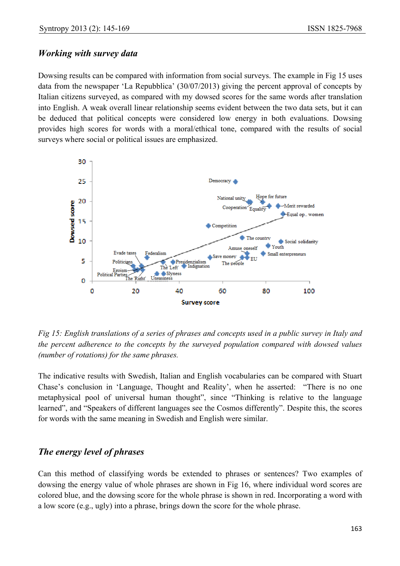#### *Working with survey data*

Dowsing results can be compared with information from social surveys. The example in Fig 15 uses data from the newspaper 'La Repubblica' (30/07/2013) giving the percent approval of concepts by Italian citizens surveyed, as compared with my dowsed scores for the same words after translation into English. A weak overall linear relationship seems evident between the two data sets, but it can be deduced that political concepts were considered low energy in both evaluations. Dowsing provides high scores for words with a moral/ethical tone, compared with the results of social surveys where social or political issues are emphasized.



*Fig 15: English translations of a series of phrases and concepts used in a public survey in Italy and the percent adherence to the concepts by the surveyed population compared with dowsed values (number of rotations) for the same phrases.*

The indicative results with Swedish, Italian and English vocabularies can be compared with Stuart Chase's conclusion in 'Language, Thought and Reality', when he asserted: "There is no one metaphysical pool of universal human thought", since "Thinking is relative to the language learned", and "Speakers of different languages see the Cosmos differently". Despite this, the scores for words with the same meaning in Swedish and English were similar.

## *The energy level of phrases*

Can this method of classifying words be extended to phrases or sentences? Two examples of dowsing the energy value of whole phrases are shown in Fig 16, where individual word scores are colored blue, and the dowsing score for the whole phrase is shown in red. Incorporating a word with a low score (e.g., ugly) into a phrase, brings down the score for the whole phrase.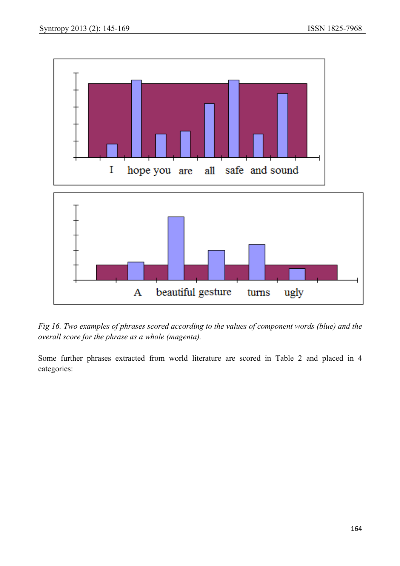

*Fig 16. Two examples of phrases scored according to the values of component words (blue) and the overall score for the phrase as a whole (magenta).* 

Some further phrases extracted from world literature are scored in Table 2 and placed in 4 categories: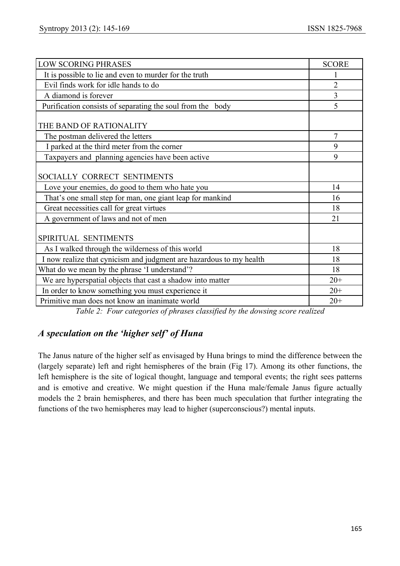| <b>LOW SCORING PHRASES</b>                                          | <b>SCORE</b>   |
|---------------------------------------------------------------------|----------------|
| It is possible to lie and even to murder for the truth              |                |
| Evil finds work for idle hands to do                                | $\overline{2}$ |
| A diamond is forever                                                | $\overline{3}$ |
| Purification consists of separating the soul from the body          | 5              |
| THE BAND OF RATIONALITY                                             |                |
| The postman delivered the letters                                   | 7              |
| I parked at the third meter from the corner                         | 9              |
| Taxpayers and planning agencies have been active                    | 9              |
| SOCIALLY CORRECT SENTIMENTS                                         |                |
| Love your enemies, do good to them who hate you                     | 14             |
| That's one small step for man, one giant leap for mankind           | 16             |
| Great necessities call for great virtues                            | 18             |
| A government of laws and not of men                                 | 21             |
| SPIRITUAL SENTIMENTS                                                |                |
| As I walked through the wilderness of this world                    | 18             |
| I now realize that cynicism and judgment are hazardous to my health | 18             |
| What do we mean by the phrase 'I understand'?                       | 18             |
| We are hyperspatial objects that cast a shadow into matter          | $20+$          |
| In order to know something you must experience it                   | $20+$          |
| Primitive man does not know an inanimate world                      | $20+$          |

*Table 2: Four categories of phrases classified by the dowsing score realized* 

# *A speculation on the 'higher self' of Huna*

The Janus nature of the higher self as envisaged by Huna brings to mind the difference between the (largely separate) left and right hemispheres of the brain (Fig 17). Among its other functions, the left hemisphere is the site of logical thought, language and temporal events; the right sees patterns and is emotive and creative. We might question if the Huna male/female Janus figure actually models the 2 brain hemispheres, and there has been much speculation that further integrating the functions of the two hemispheres may lead to higher (superconscious?) mental inputs.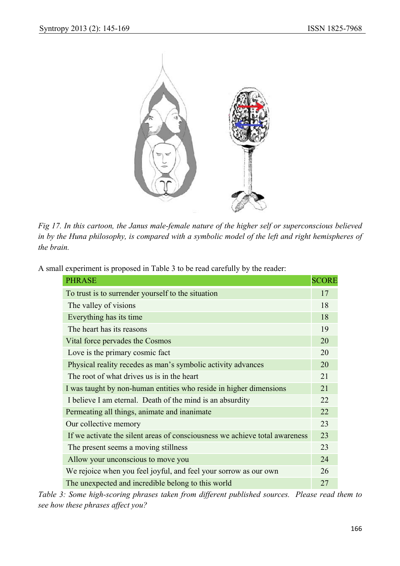

*Fig 17. In this cartoon, the Janus male-female nature of the higher self or superconscious believed in by the Huna philosophy, is compared with a symbolic model of the left and right hemispheres of the brain.* 

|  | A small experiment is proposed in Table 3 to be read carefully by the reader: |  |
|--|-------------------------------------------------------------------------------|--|
|--|-------------------------------------------------------------------------------|--|

| <b>PHRASE</b>                                                               | <b>SCORE</b> |
|-----------------------------------------------------------------------------|--------------|
| To trust is to surrender yourself to the situation                          | 17           |
| The valley of visions                                                       | 18           |
| Everything has its time                                                     | 18           |
| The heart has its reasons                                                   | 19           |
| Vital force pervades the Cosmos                                             | 20           |
| Love is the primary cosmic fact                                             | 20           |
| Physical reality recedes as man's symbolic activity advances                | 20           |
| The root of what drives us is in the heart                                  | 21           |
| I was taught by non-human entities who reside in higher dimensions          | 21           |
| I believe I am eternal. Death of the mind is an absurdity                   | 22           |
| Permeating all things, animate and inanimate                                | 22           |
| Our collective memory                                                       | 23           |
| If we activate the silent areas of consciousness we achieve total awareness | 23           |
| The present seems a moving stillness                                        | 23           |
| Allow your unconscious to move you                                          | 24           |
| We rejoice when you feel joyful, and feel your sorrow as our own            | 26           |
| The unexpected and incredible belong to this world                          | 27           |

*Table 3: Some high-scoring phrases taken from different published sources. Please read them to see how these phrases affect you?*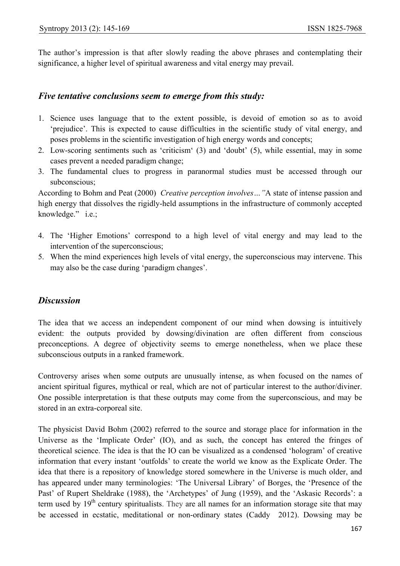The author's impression is that after slowly reading the above phrases and contemplating their significance, a higher level of spiritual awareness and vital energy may prevail.

#### *Five tentative conclusions seem to emerge from this study:*

- 1. Science uses language that to the extent possible, is devoid of emotion so as to avoid 'prejudice'. This is expected to cause difficulties in the scientific study of vital energy, and poses problems in the scientific investigation of high energy words and concepts;
- 2. Low-scoring sentiments such as 'criticism' (3) and 'doubt' (5), while essential, may in some cases prevent a needed paradigm change;
- 3. The fundamental clues to progress in paranormal studies must be accessed through our subconscious;

According to Bohm and Peat (2000) *Creative perception involves…"*A state of intense passion and high energy that dissolves the rigidly-held assumptions in the infrastructure of commonly accepted knowledge." i.e.;

- 4. The 'Higher Emotions' correspond to a high level of vital energy and may lead to the intervention of the superconscious;
- 5. When the mind experiences high levels of vital energy, the superconscious may intervene. This may also be the case during 'paradigm changes'.

## *Discussion*

The idea that we access an independent component of our mind when dowsing is intuitively evident: the outputs provided by dowsing/divination are often different from conscious preconceptions. A degree of objectivity seems to emerge nonetheless, when we place these subconscious outputs in a ranked framework.

Controversy arises when some outputs are unusually intense, as when focused on the names of ancient spiritual figures, mythical or real, which are not of particular interest to the author/diviner. One possible interpretation is that these outputs may come from the superconscious, and may be stored in an extra-corporeal site.

The physicist David Bohm (2002) referred to the source and storage place for information in the Universe as the 'Implicate Order' (IO), and as such, the concept has entered the fringes of theoretical science. The idea is that the IO can be visualized as a condensed 'hologram' of creative information that every instant 'outfolds' to create the world we know as the Explicate Order. The idea that there is a repository of knowledge stored somewhere in the Universe is much older, and has appeared under many terminologies: 'The Universal Library' of Borges, the 'Presence of the Past' of Rupert Sheldrake (1988), the 'Archetypes' of Jung (1959), and the 'Askasic Records': a term used by  $19<sup>th</sup>$  century spiritualists. They are all names for an information storage site that may be accessed in ecstatic, meditational or non-ordinary states (Caddy 2012). Dowsing may be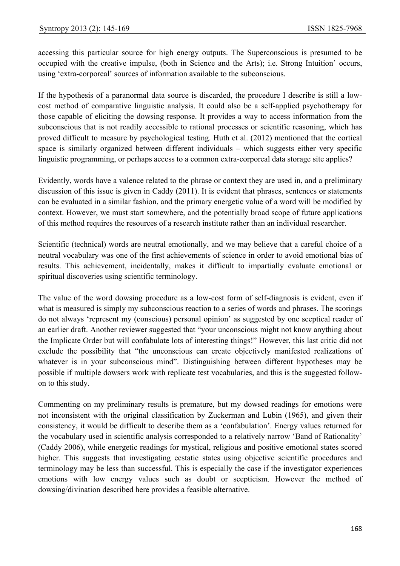accessing this particular source for high energy outputs. The Superconscious is presumed to be occupied with the creative impulse, (both in Science and the Arts); i.e. Strong Intuition' occurs, using 'extra-corporeal' sources of information available to the subconscious.

If the hypothesis of a paranormal data source is discarded, the procedure I describe is still a lowcost method of comparative linguistic analysis. It could also be a self-applied psychotherapy for those capable of eliciting the dowsing response. It provides a way to access information from the subconscious that is not readily accessible to rational processes or scientific reasoning, which has proved difficult to measure by psychological testing. Huth et al. (2012) mentioned that the cortical space is similarly organized between different individuals – which suggests either very specific linguistic programming, or perhaps access to a common extra-corporeal data storage site applies?

Evidently, words have a valence related to the phrase or context they are used in, and a preliminary discussion of this issue is given in Caddy (2011). It is evident that phrases, sentences or statements can be evaluated in a similar fashion, and the primary energetic value of a word will be modified by context. However, we must start somewhere, and the potentially broad scope of future applications of this method requires the resources of a research institute rather than an individual researcher.

Scientific (technical) words are neutral emotionally, and we may believe that a careful choice of a neutral vocabulary was one of the first achievements of science in order to avoid emotional bias of results. This achievement, incidentally, makes it difficult to impartially evaluate emotional or spiritual discoveries using scientific terminology.

The value of the word dowsing procedure as a low-cost form of self-diagnosis is evident, even if what is measured is simply my subconscious reaction to a series of words and phrases. The scorings do not always 'represent my (conscious) personal opinion' as suggested by one sceptical reader of an earlier draft. Another reviewer suggested that "your unconscious might not know anything about the Implicate Order but will confabulate lots of interesting things!" However, this last critic did not exclude the possibility that "the unconscious can create objectively manifested realizations of whatever is in your subconscious mind". Distinguishing between different hypotheses may be possible if multiple dowsers work with replicate test vocabularies, and this is the suggested followon to this study.

Commenting on my preliminary results is premature, but my dowsed readings for emotions were not inconsistent with the original classification by Zuckerman and Lubin (1965), and given their consistency, it would be difficult to describe them as a 'confabulation'. Energy values returned for the vocabulary used in scientific analysis corresponded to a relatively narrow 'Band of Rationality' (Caddy 2006), while energetic readings for mystical, religious and positive emotional states scored higher. This suggests that investigating ecstatic states using objective scientific procedures and terminology may be less than successful. This is especially the case if the investigator experiences emotions with low energy values such as doubt or scepticism. However the method of dowsing/divination described here provides a feasible alternative.